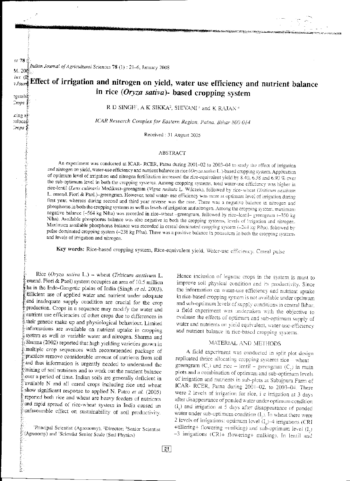■最後の変化ところを入る文字を示すことにするとする。

# Effect of irrigation and nitrogen on yield, water use efficiency and nutrient balance in rice (Oryza sativa)- based cropping system

R D SINGH<sup>2</sup>, A K SIKKA<sup>2</sup>, SHIVANI<sup>3</sup> and K RAJAN<sup>2</sup>

ICAR Research Complex for Eastern Region, Patna. Bihar 800 014

Received: 31 August 2005

### **ABSTRACT**

An experiment was conducted at ICAR-RCER, Patna during 2001-02 to 2003-04 to study the effect of irrigation and nitrogen on yield, water-use efficiency and nutrient balance in rice (Oryza sativa L.)-based cropping system. Application of optimum level of irrigation and nitrogen fertilization increased the rice-equivalent yield by 8.40, 6.38 and 6.90 % over the sub-optimum level in both the cropping systems. Among cropping systems, total water-use efficiency was higher in rice-lentil (Lens culinaris Medikus)-greengram (Vigna radiata L. Wilczek), followed by rice-wheat (Triticum aestivum L. emend. Fiori & Paol.)-greengram. However, total water- use efficiency was more at optimum level of irrigation during first year, whereas during second and third year reverse was the case. There was a negative balance in nitrogen and phosphorus in both the cropping systems as well as levels of irrigation and nitrogen. Among the cropping system, maximum negative balance (-564 kg N/ha) was recorded in rice-wheat -greengram, followed by rice-lentil-greengram (-350 kg N/ha). Available phosphorus balance was also negative in both the cropping systems, levels of irrigation and nitrogen. Maximum available phosphorus balance was recorded in cereal dominated cropping system (-244 kg P/ha), followed by pulse dominated cropping system (-238 kg P/ha). There was a positive balance in potassium in both the cropping systems and levels of irrigation and nitrogen.

Key words: Rice-based cropping system, Rice-equivalent yield, Water-use efficiency. Cereal pulse

Rice (Oryza sativa L.) - wheat (Triticum aestivum L. emend. Fiori & Paol) system occupies an area of 10.5 million ha in the Indo-Gangetic plains of India (Singh et al. 2003). Efficient use of applied water and nutrient under adequate and inadequate supply condition are crucial for the crop production. Crops in a sequence may modify the water and nutrient use efficiencies of other crops due to differences in their genetic make up and physiological behaviour. Limited informations are available on nutrient uptake in cropping system as well as variable water and nitrogen. Sharma and Sharma (2002) reported that high yielding varieties grown in multiple crop sequences with recommended package of practices remove considerable amount of nutrients from soil and thus information is urgently needed to understand the mining of soil nutrients and to work out the nutrient balance over a period of time. Indian soils are generally deficient in available N and all cereal crops including rice and wheat show significant response to applied N. Patro et al. (2005) reported both rice and wheat are heavy feeders of nutrients and rapid spread of rice-wheat system in India caused an unfavourable effect on sustainability of soil productivity.

Hence inclusion of legume crops in the system is must to improve soil physical condition and its productivity. Since the information on water-use efficiency and nutrient uptake in rice-based cropping system is not available under optimum and sub-optimum levels of supply conditions in central Bihar, a field experiment was undertaken with the objective to evaluate the effects of optimum and sub-optimum supply of water and nutrients on yield equivalent, water-use-efficiency and nutrient balance in rice-based cropping systems.

## MATERIAL AND METHODS

A field experiment was conducted in split plot design replicated thrice allocating cropping systems rice o wheat greengram  $(C_2)$  and rice - lentil - greengram  $(C_2)$  in main plots and a combination of optimum and sub-optimum levels of irrigation and nutrients in sub-plots at Sabajpura Farm of ICAR- RCER, Patna during 2001-02, to 2003-04. There were 2 levels of irrigation for rice, i e irrigation at 3 days after disappearance of ponded water under optimum condition (I<sub>i</sub>) and irrigation at 5 days after disappearance of ponded water under sub-optimum condition (I,). In wheat there were 2 levels of irrigations: optimum level  $(I_1)$ -4 irrigations (CRI +tillering+ flowering +milking) and sub-optimum level (L) -3 irrigations (CRI+ flowering+ milking). In lentil and

<sup>&</sup>lt;sup>1</sup>Principal Scientist (Agronomy), <sup>2</sup>Director; <sup>3</sup>Senior Scientist (Agronomy) and 'Scientist Senior Scale (Soil Physics)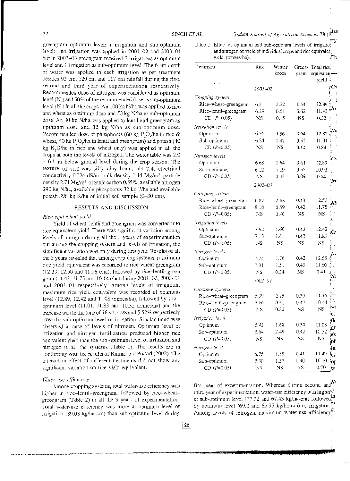greengram optimum level: 1 irrigation and sub-optimum level: - no irrigation was applied in  $2001-02$  and  $2003-04$ but in 2002-03 greengram received 2 irrigations as optimum level and 1 irrigation as sub-optimum level. The 6 cm depth of water was applied in each irrigation as per treatment besides 93 cm, 120 cm and 117 cm rainfall during the first, second and third year of experimentation respectively. Recommended dose of nitrogen was considered as optimum level (N  $_{\rm l}$ ) and 50% of the recommended dose as sub-optimum level  $(N, )$  in all the crops. An 100 kg N/ha was applied to rice and wheat as optimum dose and 50 kg N/ha as sub-optimum dose. An 30 kg N/ha was applied to lentil and greengram as optimum dose and  $15$  kg N/ha as sub-optimum dose. Recommended dose of phosphorus (60 kg  $P_2O_5/ha$  in rice & wheat,  $40 \text{ kg } P$ , O<sub>s</sub>/ha in lentil and greengram) and potash (40 kg  $K, O/ha$  in rice and wheat only) was applied in all the crops at both the levels of nitrogen. The water table was 2.0  $-6.1$  m below ground level during the crop season. The texture of soit was silty clay loam, pH 7.4, electrical conductivity  $0.026$  dS/m, bulk density 1.44 Mg/m<sup>3</sup>, particle density 2.71 Mg/m<sup>3</sup>, organic carbon 0.65%, available nitrogen 290 kg N/ha, available phosphorus 32 kg P/ha and available potash 398 kg K/ha of initial soil sample (0-30 cm).

#### RESULTS AND DISCUSSION

#### *Rice equivalent \_yield*

Yield of wheat, lentil and greengram was converted into rice equivalent yield. There was significant variation among levels of nitrogen during all the 3 years of experimentation but among the cropping system and levels of irrigation, the significant variation was only during first year. Results of all the 3 years revealed that among cropping systems, maximum rice yield equivalent was recorded in rice-wheat-greengram  $(12.39, 12.50, and 11.16, t/ha)$ , followed by rice-lentil-green gram (11.43, 11.75 and 10.44 t/ha) during 2001-02, 2002-03 and 2003-·04 respectively. Among levels of irrigation, maximum rice yield equivalent was recorded at optimum level (12.89, 12.42 and 11.08 tonnes/ha), followed by sub optimum level  $(11.01, 11.83$  and  $10.52$  tonnes/ha) and the increase was to the tune of 16.44, 4.98 and  $5.52\%$  respectively over the sub-optimum level of irrigation. Similar trend was observed in case of levels of nitrogen. Optimum level of irrigation and nitrogen fertilization produced higher rice equivalent yield than the sub-optimum level of irrigation and nitrogen in all the systems (Table 1). The results are in conformity with the results of Kumar and Prasad (2002). The interaction effect of different treatments did not show any significant variation on rice yield equivalent.

#### *Water-use efficiency*

Among cropping systems, total water-use efficiency was higher in rice-lentil-greengram, followed by rice-wheatgreengram (Table 2) in all the 3 years of experimentation. Tota! water-use efficiency was more at optimum level of inigation (89.03 kg/ha-cm) than sub-optimum level during

Table 1 Effect of optimum and sub-optimum levels of irrigatio $\ell$ and nitrogen on yield of individual crops and rice equivalen\_ yield (tonnes/ha).

| Treatment             | Rice        | Winter<br>crops | gram        | Green- Total ricej.<br>cquivalen- |
|-----------------------|-------------|-----------------|-------------|-----------------------------------|
|                       |             |                 |             | yield                             |
|                       | 2001-02     |                 |             |                                   |
| Cropping system       |             |                 |             |                                   |
| Rice-wheat-greengram  | 6.51        | 2.32            | 0.54        | 12.39                             |
| Rice-lentil-greengram | 6.29        | 0.51            | 0.62        | 11.43                             |
| $CD(P=0.05)$          | NS.         | 0.45            | NS.         | 0.32                              |
| Irrigation levels     |             |                 |             |                                   |
| Optimum               | 6.56        | 1.36            | 0.64        | 12.82                             |
| Sub-optimum           | 6.24        | 1.47            | 0.52        | 11.01                             |
| CD $(P=0.05)$         | NS          | NS              | 0.14        | 0.84                              |
| Nitrogen levels       |             |                 |             |                                   |
| Optimum               | 6.68        | 1.64            | 0.61        | 12.89                             |
| Sub-optimum           | 6.12        | 1.19            | 0.55        | 10.93                             |
| $CD(P=0.05)$          | NS.         | 0.33            | 0.09        | 0.84                              |
|                       | $2002 - 03$ |                 |             |                                   |
|                       |             |                 |             |                                   |
| Cropping system       |             |                 |             |                                   |
| Rice-wheat-greengram  | 6.87        | 2.68            | 0.43        | 12.50                             |
| Rice-lentil-greengram | 8.18        | 0.59            | 0.42        | 11.75                             |
| $CD(P=0.05)$          | NS          | 0.40            | NS.         | NS                                |
| Irrigation levels     |             |                 |             |                                   |
| Optimum               | 7.92        | 1.66            | 0.42        | 12.42                             |
| Sub-optimum           | 7.13        | 1.61            | 0.43        | 11.83                             |
| $CD(P=0.05)$          | NŜ          | NS              | NS          | NS                                |
| Nitrogen levels       |             |                 |             |                                   |
| Optimum               | 7.74        | 1.76            | 0.42        | 12.65                             |
| Sub-optimum           | 7.31        | 1.51            | 0.43        | 11.60                             |
| $CD (P=0.05)$         | NS.         | 0.34            | $_{\rm NS}$ | 0.41                              |
|                       | 2003-04     |                 |             |                                   |
| Cropping systems      |             |                 |             |                                   |
| Rice-wheat-greengram  | 5.39        | 2.95            | 0.39        | 11.16                             |
| Rice-lentil-greengram | 5.66        | 0.51            | 0.42        | 10.44                             |
| $CD (P=0.05)$         | NS          | 0.32            | NS          | NS                                |
| Irrigation level      |             |                 |             |                                   |
| Optimum               | 5.41        | 1.68            | 0.39        | ţ<br>11.08                        |
| Sub-optimum           | 5.64        | 2.49            | 0.42        | 10.52                             |
| $CD(P=0.05)$          | NS          | NS              | NS          | NS                                |
| Nitrogen level        |             |                 |             |                                   |
| Optimum               | 5.75        | 1.89            | 0.41        | 11.49                             |
| Sub-optimum           | 5.30        | 1.57            | $0.40 -$    | 10.10                             |
| $CD (P=0.05)$         | NS          | NS              | NS          | $\sigma$<br>0.70                  |

first year of experimentation. Whereas during second and third year of experimentation, water-use efficiency was higher at sub-optimum level (77.32 and 67.43 kg/ha-cm) followed? by optimum level (69.0 and 65.95 kg/ha-cm) of irrigation.<sup>5</sup> Among levels of nitrogen, maximum water-use efficiency.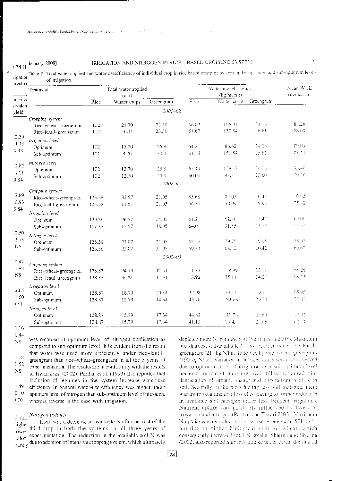: 78 (1 January 2008)

#### IRRIGATION AND NITROGEN IN RICE - BASED CROPPING SYSTEM

23

Table 2 Total water applied and water-useefficiency of individual crop in rice based eropping system under optimum and sub-optimum levels of irrigation.

| луанеп                      | Treatment                                                         |                    | Total water applied<br>(c <sub>m</sub> ) |                                   |                | Mean WUE<br>(kg/ha/cm)               |                |                |  |  |  |  |
|-----------------------------|-------------------------------------------------------------------|--------------------|------------------------------------------|-----------------------------------|----------------|--------------------------------------|----------------|----------------|--|--|--|--|
| al rice                     |                                                                   | $\overline{R}$ icc | Winter crops                             | Greengram                         | Rice           | (kg/ha/cm)<br>Winter crops Greengram |                |                |  |  |  |  |
| avalen<br>vield             | $200$ J $-02$                                                     |                    |                                          |                                   |                |                                      |                |                |  |  |  |  |
|                             | Cropping system<br>Rice-wheat-greengram<br>Rice-lentil-greengram  | 102<br>102         | 21.70<br>3.70                            | 23.30<br>23.30                    | 36.82<br>61.67 | 106.91<br>137.84                     | 23.18<br>26.61 | 83.28<br>88.60 |  |  |  |  |
| :2.39<br>11.43<br>0.32      | Irrigation level<br>Optimum<br>Sub-optimum                        | 102<br>102         | 15.70<br>9.70                            | 26.3<br>20.3                      | 64.31<br>61.18 | 86.62<br>151.54                      | 24.33<br>25.61 | 89.05<br>83.41 |  |  |  |  |
| .2.82<br>$10.1$<br>0.84     | Nitrogen level<br>Optimum<br>Sub-optimum                          | 102<br>102         | 12.70<br>12.70                           | 23.3<br>23.3<br>2002 03           | 65.49<br>60.00 | 129.13<br>93.70                      | 26.18<br>23.60 | 93.40<br>79.20 |  |  |  |  |
| 2.89<br>0.93<br>0.84        | Cropping system<br>Rice-wheat-greengram<br>Rice-lentil-green gram | 123.38<br>123.38   | 32.57<br>11.57                           | 21.05<br>21.05                    | 55.68<br>66.30 | 82.03<br>50.99                       | 20.43<br>19.95 | 10.62<br>75,32 |  |  |  |  |
|                             | Irrigation level<br>Optimum<br>Sub-optimum                        | 129.38<br>117.38   | 26.57<br>17.57                           | 24.05<br>18.05                    | 61.21<br>64.01 | 52.48<br>91.65                       | 17,47<br>23,82 | 69300<br>77.32 |  |  |  |  |
| 2.50<br>1.75<br>NS          | Nitrogen level<br>Optimum<br>Sub-optimum                          | 123.38<br>123.38   | 22.07<br>22.07                           | 21.05<br>21.05                    | 62.73<br>59.24 | 79.75<br>68.42                       | 19.95<br>20.42 | 75.97<br>69.63 |  |  |  |  |
| 2.42<br>1.83<br>$_{\rm NS}$ | Cropping system<br>Rice-wheat-greengram<br>Rice-lentil-greengram  | 128.87<br>128.87   | 24.79<br>6.79                            | $2002 - 03$<br>$17.3+$<br>$17.3+$ | 41.82<br>43.92 | 118.99<br>75.11                      | 22.91<br>24.22 | 65.26<br>68.23 |  |  |  |  |
| 2.65<br>1.60<br>1.41        | Irrigation level<br>Optimum<br>Sub-optimum                        | 128.87<br>128.87   | 18.79<br>12.79                           | 20.34<br>14.34                    | 42.98<br>43.76 | 89.43<br>194.68                      | 19.17<br>29.29 | 65.95<br>67.45 |  |  |  |  |
|                             | Nitrogen level<br>Optimum<br>Sub-optimem                          | 128.87<br>128.87   | 15.79<br>15.79                           | 17.34<br>17.34                    | 44.62<br>41.13 | 119.70<br>99.43                      | 23,64<br>23.06 | 70.92<br>62.34 |  |  |  |  |

 $1.16$  $0.44$ 

was recorded at optimum level of nitrogen application as  $NS$ compared to sub-optimum level. It is evident from the result that water was used more efficiently under rice-lentil-1.08 greengram than rice-wheat-greengram in all the 3 years of  $0.52$ experimentation. The results are in conformity with the results  $_{\rm NS}$ of Tiwari et al. (2002). Parihar et al. (1999) also reported that inclusion of legumes in the system increase water-use 1.49 efficiency. In general water-use efficiency was higher under  $0.10$ optimum level of nitrogen than sub-optimum level of nitrogen. 1.70 whereas reverse is the case with irrigation.

# d and Nitrogen balance

There was a decrease in available N after harvest of the iigher third crop in both the systems in all three years of owed ation, experimentation. The reduction in the available soil N was tional due to adoption of intensive cropping system, which ultimately

depleted more N from the soil (Verma et al. 2003). Maximum post-harvest soil-available N was recorded under rice-lentilgreengram (211 kg N/ha), followed by rice, wheat, greengram (190 kg N/ha). Variation in nument states was also observed due to optimum level of irrigation over sub-optimum level because increased moisture availability, favoured biodegradation of organic matter and mineralization of N in soil. Secondly in the plots having less soil moisture, there was more volatifization loss of N leading to further reduction in available soil nitrogen under less frequent irrigations. Nutrient uptake was positively influenced by levels of irrigation and nitrogen (Parihar and Tiwari 2003). Maximum N uptake was recorded in rice-wheat-greengram (571 kg N/ ha) due to higher biological vield of wheat, which consequently increased total N uptake. Sharma and Sharma (2002) also reported higher N uptake under cereal dominated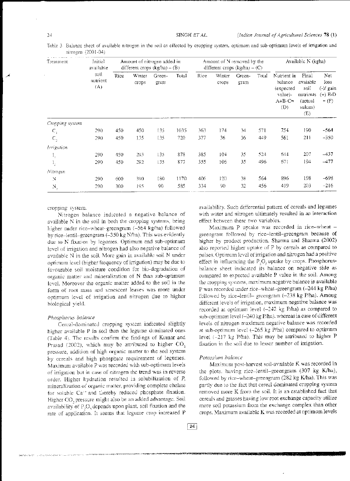Table 3 Balance sheet of available nitrogen in the soil as effected by cropping system, optimum and sub-optimum levels of irrigation and nitrogen (2001-04)

| Treatment       | Initial<br>available    | Amount of nitrogen added in<br>different crops $(kg/ha) - (B)$ |                 |                |       |      | Amount of N removed by the<br>different crops $(kg/ha) - (C)$ |                | Available N (kgha) |                                                                   |                                                                     |                                                  |
|-----------------|-------------------------|----------------------------------------------------------------|-----------------|----------------|-------|------|---------------------------------------------------------------|----------------|--------------------|-------------------------------------------------------------------|---------------------------------------------------------------------|--------------------------------------------------|
|                 | soil<br>nutrient<br>(A) | Rice                                                           | Winter<br>crops | Green-<br>gram | Total | Rice | Winter<br>crops                                               | Green-<br>gram | Total              | Nutrient in<br>balance<br>(expected<br>value)-<br>$A+B-C=$<br>(D) | Final<br>avaiable<br>soil<br>nutrients<br>(actual<br>values)<br>(E) | Net<br>loss<br>$(-)/$ gain<br>(+) E-D<br>$=$ (F) |
| Cropping system |                         |                                                                |                 |                |       |      |                                                               |                |                    |                                                                   |                                                                     |                                                  |
| $C_{1}$         | 290                     | 450                                                            | 450             | 135            | 1035  | 363  | 174                                                           | 34             | 571                | 754                                                               | 190                                                                 | $-564$                                           |
| $C_{2}$         | 290.                    | 450                                                            | 135             | 135            | 720   | 377  | 36                                                            | 36             | 449                | 561                                                               | 211                                                                 | $-350$                                           |
| Irrigation      |                         |                                                                |                 |                |       |      |                                                               |                |                    |                                                                   |                                                                     |                                                  |
|                 | 290                     | 450                                                            | 293             | 135            | 878   | 385  | 104                                                           | 35             | 524                | $64 +$                                                            | 207                                                                 | $-437$                                           |
| Ι,              | 290                     | 450                                                            | 292             | 135            | 877   | 355  | 106                                                           | 35             | 496                | 671                                                               | 194                                                                 | $-477$                                           |
| Nitrogen        |                         |                                                                |                 |                |       |      |                                                               |                |                    |                                                                   |                                                                     |                                                  |
| N               | 290                     | 600                                                            | 390             | 180            | 1170  | 406  | 120                                                           | 38             | 564                | 896                                                               | 198                                                                 | $-698$                                           |
| $\rm N_{\rm s}$ | 290                     | 300                                                            | 195             | 90.            | 585   | 334  | 90                                                            | 32             | 456                | 419                                                               | 203                                                                 | $-216$                                           |

cropping system.

Nitrogen balance indicated a negative balance of available N in the soil in both the cropping systems, being higher under rice-wheat-greengram (-564 kg/ha) followed by rice-lentil-greengram (-350 kg N/ha). This was evidently due to N fixation by legumes. Optimum and sub-optimum level of irrigation and nitrogen had also negative balance of available N in the soil. More gain in available soil N under optimum level (bigher frequency of irrigation) may be due to favourable soil moisture condition for bio-degradation of organic matter and mineralization of N than sub-optimum level. Moreover the organic matter added to the soil in the form of root mass and senescent leaves was more under optimum level of irrigation and nitrogen due to higher biological vield.

### Phosphorus balance

Cereal-dominated cropping system indicated slightly higher available P in soil than the legume dominated ones (Table 4). The results confirm the findings of Kumar and Prasad (2002), which may be attributed to higher CO<sub>2</sub> pressure, addition of high organic matter to the soil system by cereals and high phosphate requirement of legumes. Maximum available P was recorded with sub-optimum levels of irrigation but in case of nitrogen the trend was in reverse order. Higher hydration resulted in solubilization of P, mineralization of organic matter, providing complete chelate for soluble Ca<sup>1+</sup> and thereby reduced phosphate fixation. Higher CO, pressure might also be an added advantage. Soil availability of P,O<sub>s</sub> depends upon plant, soil fixation and the rate of application. It seems that legume crop increased P availability. Such differential pattern of cereals and legumes with water and nitrogen ultimately resulted in an interaction effect between these two variables.

Maximum P uptake was recorded in rice-wheat greengram followed by rice-lentil-greengram because of bigher by product production. Sharma and Sharma (2002) also reported higher uptake of P by cereals as compared to palses. Optimum level of irrigation and nitrogen had a positive effect in influencing the P<sub>3</sub>O<sub>s</sub> uptake by crops. Phosphorusbalance sheet indicated its balance on negative side as compared to expected available P value in the soil. Among the cropping systems, maximum negative balance in available P was recorded under rice-wheat-greengram (-244 kg P/ha) followed by rice-lentil- greengram (-238 kg P/ha). Amoug different levels of irrigation, maximum negative balance was recorded at optimum level (-242 kg P/ha) as compared to sub-optinium level (-240 kg P/ha), whereas in case of different levels of nitrogen maximum negative balance was recorded at sub-optimum level (-265 kg P/ha) compared to optimum level (-217 kg P/ha). This may be attributed to higher P fixation in the soil due to lesser number of irrigation.

#### Potassium balance

Maximum post-harvest soil-available K was recorded in the plots. having rice-lentil-greengram (307 kg K/ha), followed by rice-wheat-greengram (282 kg K/ha). This was partly due to the fact that cereal dominated cropping system removed more K from the soil. It is an established fact that cereals and grasses having low root exchange capacity utilize more soil potassium from the exchange complex than other crops. Maximum available K was recorded at optimum levels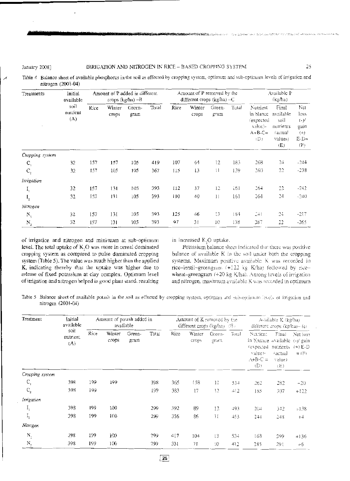| Treatments      | Initial<br>available    | Amount of P added in different<br>crops (kg/ha) -B |                 |                |       |      | Amount of P removed by the<br>different crops ( $kg/ha$ ) - C |                 | Available P<br>(kg/ha) |                                                                             |                                                                             |                                                          |
|-----------------|-------------------------|----------------------------------------------------|-----------------|----------------|-------|------|---------------------------------------------------------------|-----------------|------------------------|-----------------------------------------------------------------------------|-----------------------------------------------------------------------------|----------------------------------------------------------|
|                 | soil<br>nutrient<br>(A) | Rice                                               | Winter<br>crops | Green-<br>gram | Total | Rice | Winter<br>crops                                               | Green-<br>gram  | Total                  | Nutrient<br>in blance<br><i>expected</i><br>value)-<br>$A + B - C =$<br>(D) | Final<br>available<br>soil<br>nutrients<br><i>(actual</i><br>values)<br>(E) | Net<br>loss<br>$(-)$ /<br>gain<br>$(+)$<br>$E-D=$<br>(F) |
| Cropping system |                         |                                                    |                 |                |       |      |                                                               |                 |                        |                                                                             |                                                                             |                                                          |
| $C_{1}$         | 32                      | 157                                                | 157             | 105            | 419   | 107  | 64                                                            | 12              | 183                    | 268                                                                         | 24                                                                          | $-244$                                                   |
| C <sub>2</sub>  | 32                      | 157                                                | 105             | 105            | 367   | 115  | 13                                                            | í1              | 139                    | 260                                                                         | 22                                                                          | $-238$                                                   |
| Irrigation      |                         |                                                    |                 |                |       |      |                                                               |                 |                        |                                                                             |                                                                             |                                                          |
| I,              | 32                      | 157                                                | 131             | 105            | 393   | 112  | 37                                                            | 12              | í61                    | 264                                                                         | 22                                                                          | $-242$                                                   |
| $I_{2}$         | 32                      | 157                                                | 131             | 105            | 393   | 110  | 40                                                            | $\vert$ $\vert$ | 161                    | 264                                                                         | 24                                                                          | $-240$                                                   |
| Nitrogen        |                         |                                                    |                 |                |       |      |                                                               |                 |                        |                                                                             |                                                                             |                                                          |
| N,              | 32                      | 157                                                | 131             | 105            | 393   | 125  | 46                                                            | 13              | 184                    | $-11$                                                                       | 24                                                                          | $-217$                                                   |
| N.              | 32                      | 157                                                | 131             | 105            | 393   | 97   | 31                                                            | 10              | 138                    | 287                                                                         | 22                                                                          | -265                                                     |

Table 4 Balance sheet of available phosphorus in the soil as effected by cropping system, optimum and sub-optimum levels of irrigation and nitrogen (2001-04)

of irrigation and nitrogen and minimum at sub-optimum level. The total uptake of K,O was more in cereal dominated cropping system as compared to pulse dominated cropping system (Table 5). The value was much higher than the applied K, indicating thereby that the uptake was higher due to release of fixed potassium at clay complex. Optimum level of irrigation and nitrogen helped in good plant stand, resulting in increased K,O uptake.

Potassium balance sheet indicated that there was positive balance of available K in the soil under both the cropping systems. Maximum positive available K was recorded in rice-lentil-greengram (+122 kg K/ha) followed by ricewheat-greengram (+20 kg K/ha). Antong levels of irrigation and nitrogen, maximum available K was recorded in optimum

Table 5 Balance sheet of available potash in the soil as effected by cropping system, optimam and sub-optimam levels of irrigation and nitrogen (2001-04)

| Treatment           | Initial<br>available<br>soil<br>nutrient<br>(A) | Amount of potash added in<br>available |                 |                |       |      | Amount of K removed by the<br>different crops (kg/ha) (B) |                | Available K (kg/ha)<br>different crops $(kg/na)$ (c) |                                                                                                         |                                   |                     |
|---------------------|-------------------------------------------------|----------------------------------------|-----------------|----------------|-------|------|-----------------------------------------------------------|----------------|------------------------------------------------------|---------------------------------------------------------------------------------------------------------|-----------------------------------|---------------------|
|                     |                                                 | Rice                                   | Winter<br>crops | Green-<br>gram | Total | Rice | Winter<br><b>CFODS</b>                                    | Green-<br>gram | Total                                                | Nutrient<br>in blanace available (-)/ gain<br>(expected nutrients (+) E-D<br>value)-<br>$A+B-C=$<br>(D) | Final<br>ractual<br>value)<br>(E) | Net loss<br>$=$ (F) |
| Cropping system     |                                                 |                                        |                 |                |       |      |                                                           |                |                                                      |                                                                                                         |                                   |                     |
| $C_{\rm I}$         | 398                                             | 199                                    | 199             |                | 398   | 365  | 158                                                       | 11             | 534                                                  | 262                                                                                                     | 282                               | $-20$               |
| $C_{2}$             | 398                                             | 199                                    |                 |                | 199   | 383  | 17                                                        | 12             | 412                                                  | 185                                                                                                     | 307                               | $+122$              |
| Irrigation          |                                                 |                                        |                 |                |       |      |                                                           |                |                                                      |                                                                                                         |                                   |                     |
| I,                  | 398                                             | 199                                    | 100             |                | 299   | 392  | 89                                                        | 12             | 493                                                  | 204                                                                                                     | 342                               | $+138$              |
| $\mathrm{I}_2$      | 398                                             | 199                                    | 100             |                | 299   | 356  | 86                                                        | H              | 453                                                  | 244                                                                                                     | 248                               | $+4$                |
| Nitrogen            |                                                 |                                        |                 |                |       |      |                                                           |                |                                                      |                                                                                                         |                                   |                     |
| $N_{\rm i}$         | 398                                             | 199                                    | 100             |                | 299   | 417  | 104                                                       | 13             | 534                                                  | 163                                                                                                     | 299                               | $+136$              |
| $\mathbf{N}_{\!_2}$ | 398                                             | 199                                    | 100             |                | 299   | 331  | 71                                                        | 10             | 412                                                  | 285                                                                                                     | 291                               | $+6$                |